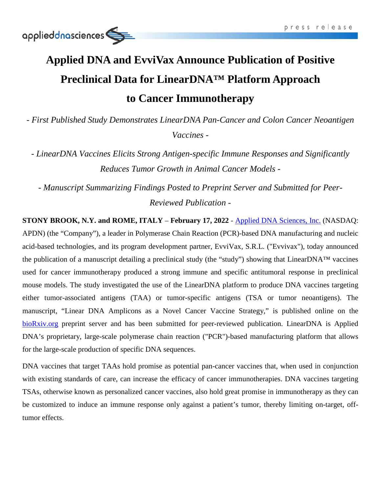# **Applied DNA and EvviVax Announce Publication of Positive Preclinical Data for LinearDNA™ Platform Approach to Cancer Immunotherapy**

*- First Published Study Demonstrates LinearDNA Pan-Cancer and Colon Cancer Neoantigen Vaccines -*

*- LinearDNA Vaccines Elicits Strong Antigen-specific Immune Responses and Significantly Reduces Tumor Growth in Animal Cancer Models -*

*- Manuscript Summarizing Findings Posted to Preprint Server and Submitted for Peer-Reviewed Publication -*

**STONY BROOK, N.Y. and ROME, ITALY** – **February 17, 2022** - [Applied DNA Sciences, Inc.](http://www.adnas.com/) (NASDAQ: APDN) (the "Company"), a leader in Polymerase Chain Reaction (PCR)-based DNA manufacturing and nucleic acid-based technologies, and its program development partner, EvviVax, S.R.L. ("Evvivax"), today announced the publication of a manuscript detailing a preclinical study (the "study") showing that LinearDNA™ vaccines used for cancer immunotherapy produced a strong immune and specific antitumoral response in preclinical mouse models. The study investigated the use of the LinearDNA platform to produce DNA vaccines targeting either tumor-associated antigens (TAA) or tumor-specific antigens (TSA or tumor neoantigens). The manuscript, "Linear DNA Amplicons as a Novel Cancer Vaccine Strategy," is published online on the [bioRxiv.org](https://www.biorxiv.org/content/10.1101/2022.02.09.479777v1) preprint server and has been submitted for peer-reviewed publication. LinearDNA is Applied DNA's proprietary, large-scale polymerase chain reaction ("PCR")-based manufacturing platform that allows for the large-scale production of specific DNA sequences.

DNA vaccines that target TAAs hold promise as potential pan-cancer vaccines that, when used in conjunction with existing standards of care, can increase the efficacy of cancer immunotherapies. DNA vaccines targeting TSAs, otherwise known as personalized cancer vaccines, also hold great promise in immunotherapy as they can be customized to induce an immune response only against a patient's tumor, thereby limiting on-target, offtumor effects.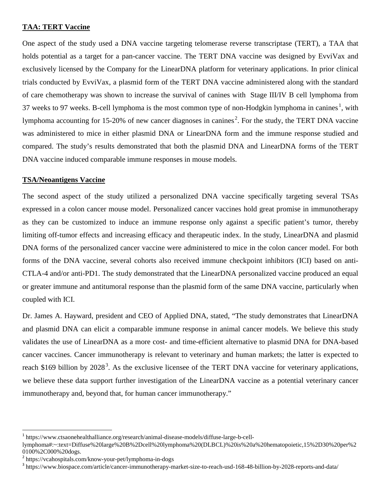#### **TAA: TERT Vaccine**

One aspect of the study used a DNA vaccine targeting telomerase reverse transcriptase (TERT), a TAA that holds potential as a target for a pan-cancer vaccine. The TERT DNA vaccine was designed by EvviVax and exclusively licensed by the Company for the LinearDNA platform for veterinary applications. In prior clinical trials conducted by EvviVax, a plasmid form of the TERT DNA vaccine administered along with the standard of care chemotherapy was shown to increase the survival of canines with Stage III/IV B cell lymphoma from 37 weeks to 97 weeks. B-cell lymphoma is the most common type of non-Hodgkin lymphoma in canines.<sup>1</sup>, with lymphoma accounting for 15-20% of new cancer diagnoses in canines.<sup>2</sup>. For the study, the TERT DNA vaccine was administered to mice in either plasmid DNA or LinearDNA form and the immune response studied and compared. The study's results demonstrated that both the plasmid DNA and LinearDNA forms of the TERT DNA vaccine induced comparable immune responses in mouse models.

#### **TSA/Neoantigens Vaccine**

The second aspect of the study utilized a personalized DNA vaccine specifically targeting several TSAs expressed in a colon cancer mouse model. Personalized cancer vaccines hold great promise in immunotherapy as they can be customized to induce an immune response only against a specific patient's tumor, thereby limiting off-tumor effects and increasing efficacy and therapeutic index. In the study, LinearDNA and plasmid DNA forms of the personalized cancer vaccine were administered to mice in the colon cancer model. For both forms of the DNA vaccine, several cohorts also received immune checkpoint inhibitors (ICI) based on anti-CTLA-4 and/or anti-PD1. The study demonstrated that the LinearDNA personalized vaccine produced an equal or greater immune and antitumoral response than the plasmid form of the same DNA vaccine, particularly when coupled with ICI.

Dr. James A. Hayward, president and CEO of Applied DNA, stated, "The study demonstrates that LinearDNA and plasmid DNA can elicit a comparable immune response in animal cancer models. We believe this study validates the use of LinearDNA as a more cost- and time-efficient alternative to plasmid DNA for DNA-based cancer vaccines. Cancer immunotherapy is relevant to veterinary and human markets; the latter is expected to reach \$169 billion by  $2028<sup>3</sup>$ . As the exclusive licensee of the TERT DNA vaccine for veterinary applications, we believe these data support further investigation of the LinearDNA vaccine as a potential veterinary cancer immunotherapy and, beyond that, for human cancer immunotherapy."

 <sup>1</sup> https://www.ctsaonehealthalliance.org/research/animal-disease-models/diffuse-large-b-cell-

lymphoma#:~:text=Diffuse%20large%20B%2Dcell%20lymphoma%20(DLBCL)%20is%20a%20hematopoietic,15%2D30%20per%2 0100%2C000%20dogs.<br><sup>2</sup> https://vcahospitals.com/know-your-pet/lymphoma-in-dogs

 $3$  https://www.biospace.com/article/cancer-immunotherapy-market-size-to-reach-usd-168-48-billion-by-2028-reports-and-data/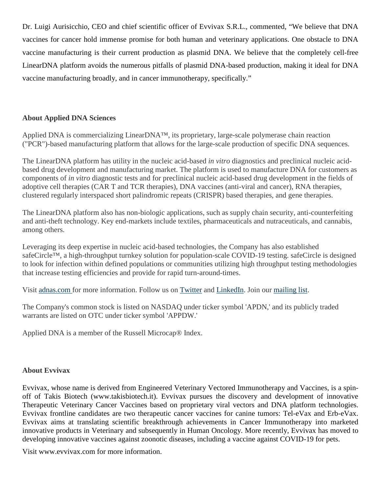Dr. Luigi Aurisicchio, CEO and chief scientific officer of Evvivax S.R.L., commented, "We believe that DNA vaccines for cancer hold immense promise for both human and veterinary applications. One obstacle to DNA vaccine manufacturing is their current production as plasmid DNA. We believe that the completely cell-free LinearDNA platform avoids the numerous pitfalls of plasmid DNA-based production, making it ideal for DNA vaccine manufacturing broadly, and in cancer immunotherapy, specifically."

## **About Applied DNA Sciences**

Applied DNA is commercializing LinearDNA™, its proprietary, large-scale polymerase chain reaction ("PCR")-based manufacturing platform that allows for the large-scale production of specific DNA sequences.

The LinearDNA platform has utility in the nucleic acid-based *in vitro* diagnostics and preclinical nucleic acidbased drug development and manufacturing market. The platform is used to manufacture DNA for customers as components of *in vitro* diagnostic tests and for preclinical nucleic acid-based drug development in the fields of adoptive cell therapies (CAR T and TCR therapies), DNA vaccines (anti-viral and cancer), RNA therapies, clustered regularly interspaced short palindromic repeats (CRISPR) based therapies, and gene therapies.

The LinearDNA platform also has non-biologic applications, such as supply chain security, anti-counterfeiting and anti-theft technology. Key end-markets include textiles, pharmaceuticals and nutraceuticals, and cannabis, among others.

Leveraging its deep expertise in nucleic acid-based technologies, the Company has also established safeCircle™, a high-throughput turnkey solution for population-scale COVID-19 testing. safeCircle is designed to look for infection within defined populations or communities utilizing high throughput testing methodologies that increase testing efficiencies and provide for rapid turn-around-times.

Visit [adnas.com](https://cts.businesswire.com/ct/CT?id=smartlink&url=http%3A%2F%2Fwww.adnas.com&esheet=52577642&newsitemid=20220210005832&lan=en-US&anchor=adnas.com&index=5&md5=10cabac793f86c32f25257743d2113c1) for more information. Follow us on [Twitter](https://cts.businesswire.com/ct/CT?id=smartlink&url=https%3A%2F%2Ftwitter.com%2FAPDN&esheet=52577642&newsitemid=20220210005832&lan=en-US&anchor=Twitter&index=6&md5=c2f1ba0c98f8c525c56293af3e54ec76) and [LinkedIn.](https://cts.businesswire.com/ct/CT?id=smartlink&url=https%3A%2F%2Fwww.linkedin.com%2Fcompany%2Fapplied-dna-sciences%2F&esheet=52577642&newsitemid=20220210005832&lan=en-US&anchor=LinkedIn&index=7&md5=0e0812f8266bb3f05fa370c23f8cbf27) Join our [mailing list.](https://cts.businesswire.com/ct/CT?id=smartlink&url=https%3A%2F%2Fvisitor.r20.constantcontact.com%2Fmanage%2Foptin%3Fv%3D001WY2H_3RLHWpUIP7uJ0g2FUYlX7COpyndjr_yah9C58ngZJ6ahj8DbNSztyPn7vIMqLYeA-liYQt3MpvUE8gyvu4plzwyyCepelE65zAbhN8%253D&esheet=52577642&newsitemid=20220210005832&lan=en-US&anchor=mailing+list&index=8&md5=acb7db512ef0f3b5273f3c7751cc5643)

The Company's common stock is listed on NASDAQ under ticker symbol 'APDN,' and its publicly traded warrants are listed on OTC under ticker symbol 'APPDW.'

Applied DNA is a member of the Russell Microcap® Index.

## **About Evvivax**

Evvivax, whose name is derived from Engineered Veterinary Vectored Immunotherapy and Vaccines, is a spinoff of Takis Biotech [\(www.takisbiotech.it\)](https://cts.businesswire.com/ct/CT?id=smartlink&url=http%3A%2F%2Fwww.takisbiotech.it&esheet=52424947&newsitemid=20210506005654&lan=en-US&anchor=www.takisbiotech.it&index=7&md5=febc6ae4e9c358b5a6bfdc4b83058669). Evvivax pursues the discovery and development of innovative Therapeutic Veterinary Cancer Vaccines based on proprietary viral vectors and DNA platform technologies. Evvivax frontline candidates are two therapeutic cancer vaccines for canine tumors: Tel-eVax and Erb-eVax. Evvivax aims at translating scientific breakthrough achievements in Cancer Immunotherapy into marketed innovative products in Veterinary and subsequently in Human Oncology. More recently, Evvivax has moved to developing innovative vaccines against zoonotic diseases, including a vaccine against COVID-19 for pets.

Visit [www.evvivax.com](https://cts.businesswire.com/ct/CT?id=smartlink&url=http%3A%2F%2Fwww.evvivax.com&esheet=52424947&newsitemid=20210506005654&lan=en-US&anchor=www.evvivax.com&index=8&md5=9d5a44857564af2a212c4cd945d4cd1b) for more information.